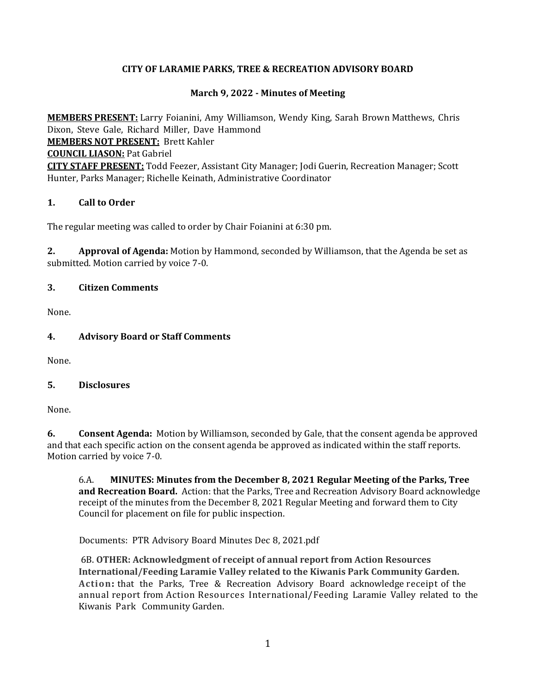### **CITY OF LARAMIE PARKS, TREE & RECREATION ADVISORY BOARD**

### **March 9, 2022 - Minutes of Meeting**

**MEMBERS PRESENT:** Larry Foianini, Amy Williamson, Wendy King, Sarah Brown Matthews, Chris Dixon, Steve Gale, Richard Miller, Dave Hammond **MEMBERS NOT PRESENT:** Brett Kahler **COUNCIL LIASON:** Pat Gabriel **CITY STAFF PRESENT:** Todd Feezer, Assistant City Manager; Jodi Guerin, Recreation Manager; Scott Hunter, Parks Manager; Richelle Keinath, Administrative Coordinator

### **1. Call to Order**

The regular meeting was called to order by Chair Foianini at 6:30 pm.

**2. Approval of Agenda:** Motion by Hammond, seconded by Williamson, that the Agenda be set as submitted. Motion carried by voice 7-0.

#### **3. Citizen Comments**

None.

#### **4. Advisory Board or Staff Comments**

None.

#### **5. Disclosures**

None.

**6. Consent Agenda:** Motion by Williamson, seconded by Gale, that the consent agenda be approved and that each specific action on the consent agenda be approved as indicated within the staff reports. Motion carried by voice 7-0.

6.A. **MINUTES: Minutes from the December 8, 2021 Regular Meeting of the Parks, Tree and Recreation Board.** Action: that the Parks, Tree and Recreation Advisory Board acknowledge receipt of the minutes from the December 8, 2021 Regular Meeting and forward them to City Council for placement on file for public inspection.

Documents: PTR Advisory Board Minutes Dec 8, 2021.pdf

6B. **OTHER: Acknowledgment of receipt of annual report from Action Resources International/Feeding Laramie Valley related to the Kiwanis Park Community Garden. Action:** that the Parks, Tree & Recreation Advisory Board acknowledge receipt of the annual report from Action Resources International/Feeding Laramie Valley related to the Kiwanis Park Community Garden.